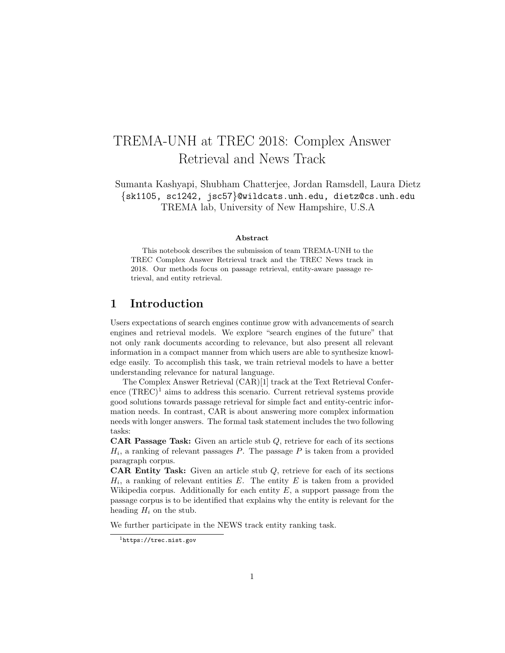# TREMA-UNH at TREC 2018: Complex Answer Retrieval and News Track

Sumanta Kashyapi, Shubham Chatterjee, Jordan Ramsdell, Laura Dietz {sk1105, sc1242, jsc57}@wildcats.unh.edu, dietz@cs.unh.edu TREMA lab, University of New Hampshire, U.S.A

#### Abstract

This notebook describes the submission of team TREMA-UNH to the TREC Complex Answer Retrieval track and the TREC News track in 2018. Our methods focus on passage retrieval, entity-aware passage retrieval, and entity retrieval.

# 1 Introduction

Users expectations of search engines continue grow with advancements of search engines and retrieval models. We explore "search engines of the future" that not only rank documents according to relevance, but also present all relevant information in a compact manner from which users are able to synthesize knowledge easily. To accomplish this task, we train retrieval models to have a better understanding relevance for natural language.

The Complex Answer Retrieval (CAR)[1] track at the Text Retrieval Conference  $(TREC)^1$  aims to address this scenario. Current retrieval systems provide good solutions towards passage retrieval for simple fact and entity-centric information needs. In contrast, CAR is about answering more complex information needs with longer answers. The formal task statement includes the two following tasks:

CAR Passage Task: Given an article stub Q, retrieve for each of its sections  $H_i$ , a ranking of relevant passages  $P$ . The passage  $P$  is taken from a provided paragraph corpus.

**CAR Entity Task:** Given an article stub  $Q$ , retrieve for each of its sections  $H_i$ , a ranking of relevant entities E. The entity E is taken from a provided Wikipedia corpus. Additionally for each entity  $E$ , a support passage from the passage corpus is to be identified that explains why the entity is relevant for the heading  $H_i$  on the stub.

We further participate in the NEWS track entity ranking task.

<sup>1</sup>https://trec.nist.gov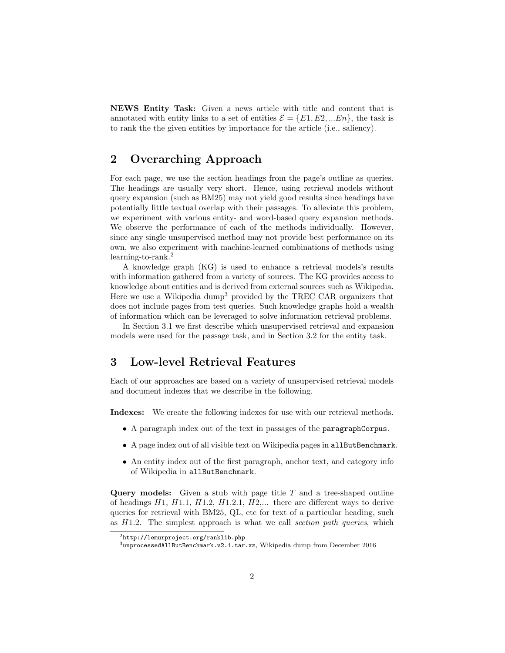NEWS Entity Task: Given a news article with title and content that is annotated with entity links to a set of entities  $\mathcal{E} = \{E1, E2, ...En\}$ , the task is to rank the the given entities by importance for the article (i.e., saliency).

# 2 Overarching Approach

For each page, we use the section headings from the page's outline as queries. The headings are usually very short. Hence, using retrieval models without query expansion (such as BM25) may not yield good results since headings have potentially little textual overlap with their passages. To alleviate this problem, we experiment with various entity- and word-based query expansion methods. We observe the performance of each of the methods individually. However, since any single unsupervised method may not provide best performance on its own, we also experiment with machine-learned combinations of methods using learning-to-rank.<sup>2</sup>

A knowledge graph (KG) is used to enhance a retrieval models's results with information gathered from a variety of sources. The KG provides access to knowledge about entities and is derived from external sources such as Wikipedia. Here we use a Wikipedia dump<sup>3</sup> provided by the TREC CAR organizers that does not include pages from test queries. Such knowledge graphs hold a wealth of information which can be leveraged to solve information retrieval problems.

In Section 3.1 we first describe which unsupervised retrieval and expansion models were used for the passage task, and in Section 3.2 for the entity task.

# 3 Low-level Retrieval Features

Each of our approaches are based on a variety of unsupervised retrieval models and document indexes that we describe in the following.

Indexes: We create the following indexes for use with our retrieval methods.

- A paragraph index out of the text in passages of the paragraphCorpus.
- A page index out of all visible text on Wikipedia pages in allButBenchmark.
- An entity index out of the first paragraph, anchor text, and category info of Wikipedia in allButBenchmark.

**Query models:** Given a stub with page title  $T$  and a tree-shaped outline of headings  $H1, H1.1, H1.2, H1.2.1, H2,...$  there are different ways to derive queries for retrieval with BM25, QL, etc for text of a particular heading, such as  $H1.2$ . The simplest approach is what we call section path queries, which

<sup>2</sup>http://lemurproject.org/ranklib.php

<sup>3</sup>unprocessedAllButBenchmark.v2.1.tar.xz, Wikipedia dump from December 2016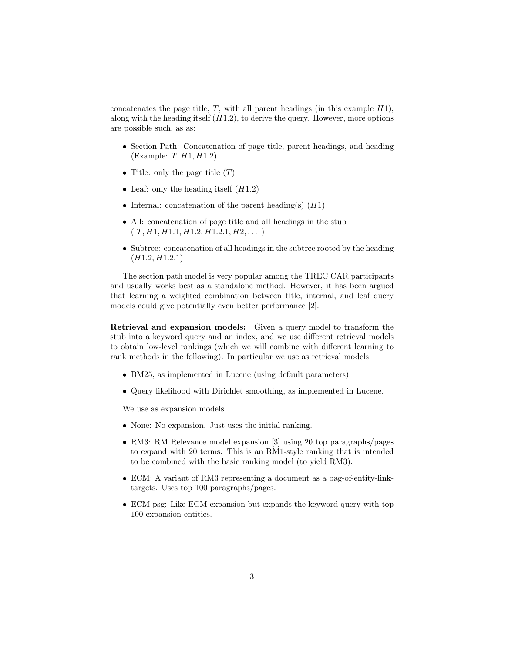concatenates the page title,  $T$ , with all parent headings (in this example  $H1$ ), along with the heading itself  $(H1.2)$ , to derive the query. However, more options are possible such, as as:

- Section Path: Concatenation of page title, parent headings, and heading  $(Example: T, H1, H1.2).$
- Title: only the page title  $(T)$
- Leaf: only the heading itself  $(H1.2)$
- Internal: concatenation of the parent heading(s)  $(H1)$
- All: concatenation of page title and all headings in the stub  $(T, H1, H1.1, H1.2, H1.2.1, H2, \dots)$
- Subtree: concatenation of all headings in the subtree rooted by the heading  $(H1.2, H1.2.1)$

The section path model is very popular among the TREC CAR participants and usually works best as a standalone method. However, it has been argued that learning a weighted combination between title, internal, and leaf query models could give potentially even better performance [2].

Retrieval and expansion models: Given a query model to transform the stub into a keyword query and an index, and we use different retrieval models to obtain low-level rankings (which we will combine with different learning to rank methods in the following). In particular we use as retrieval models:

- BM25, as implemented in Lucene (using default parameters).
- Query likelihood with Dirichlet smoothing, as implemented in Lucene.

We use as expansion models

- None: No expansion. Just uses the initial ranking.
- RM3: RM Relevance model expansion [3] using 20 top paragraphs/pages to expand with 20 terms. This is an RM1-style ranking that is intended to be combined with the basic ranking model (to yield RM3).
- ECM: A variant of RM3 representing a document as a bag-of-entity-linktargets. Uses top 100 paragraphs/pages.
- ECM-psg: Like ECM expansion but expands the keyword query with top 100 expansion entities.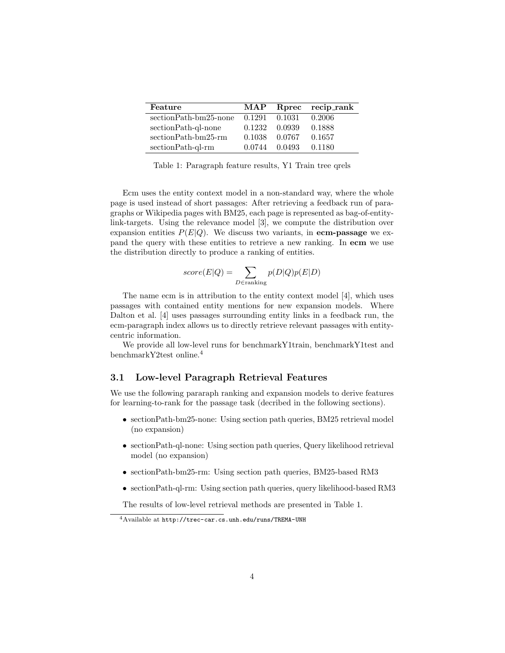| Feature               | <b>MAP</b> |        | Rprec recip_rank |
|-----------------------|------------|--------|------------------|
| sectionPath-bm25-none | 0.1291     | 0.1031 | 0.2006           |
| sectionPath-ql-none   | 0.1232     | 0.0939 | 0.1888           |
| sectionPath-bm25-rm   | 0.1038     | 0.0767 | 0.1657           |
| sectionPath-ql-rm     | 0.0744     | 0.0493 | 0.1180           |

Table 1: Paragraph feature results, Y1 Train tree qrels

Ecm uses the entity context model in a non-standard way, where the whole page is used instead of short passages: After retrieving a feedback run of paragraphs or Wikipedia pages with BM25, each page is represented as bag-of-entitylink-targets. Using the relevance model [3], we compute the distribution over expansion entities  $P(E|Q)$ . We discuss two variants, in **ecm-passage** we expand the query with these entities to retrieve a new ranking. In ecm we use the distribution directly to produce a ranking of entities.

$$
score(E|Q) = \sum_{D \in \text{ranking}} p(D|Q)p(E|D)
$$

The name ecm is in attribution to the entity context model [4], which uses passages with contained entity mentions for new expansion models. Where Dalton et al. [4] uses passages surrounding entity links in a feedback run, the ecm-paragraph index allows us to directly retrieve relevant passages with entitycentric information.

We provide all low-level runs for benchmarkY1train, benchmarkY1test and benchmarkY2test online.<sup>4</sup>

#### 3.1 Low-level Paragraph Retrieval Features

We use the following pararaph ranking and expansion models to derive features for learning-to-rank for the passage task (decribed in the following sections).

- sectionPath-bm25-none: Using section path queries, BM25 retrieval model (no expansion)
- sectionPath-ql-none: Using section path queries, Query likelihood retrieval model (no expansion)
- sectionPath-bm25-rm: Using section path queries, BM25-based RM3
- sectionPath-ql-rm: Using section path queries, query likelihood-based RM3

The results of low-level retrieval methods are presented in Table 1.

<sup>4</sup>Available at http://trec-car.cs.unh.edu/runs/TREMA-UNH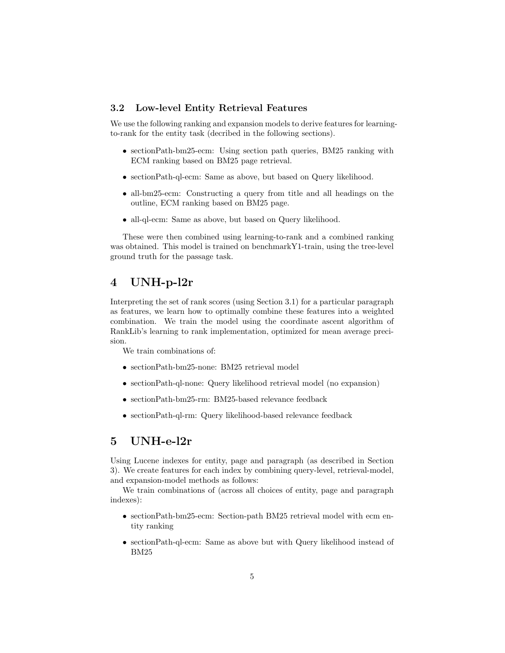#### 3.2 Low-level Entity Retrieval Features

We use the following ranking and expansion models to derive features for learningto-rank for the entity task (decribed in the following sections).

- sectionPath-bm25-ecm: Using section path queries, BM25 ranking with ECM ranking based on BM25 page retrieval.
- sectionPath-ql-ecm: Same as above, but based on Query likelihood.
- all-bm25-ecm: Constructing a query from title and all headings on the outline, ECM ranking based on BM25 page.
- all-ql-ecm: Same as above, but based on Query likelihood.

These were then combined using learning-to-rank and a combined ranking was obtained. This model is trained on benchmarkY1-train, using the tree-level ground truth for the passage task.

# 4 UNH-p-l2r

Interpreting the set of rank scores (using Section 3.1) for a particular paragraph as features, we learn how to optimally combine these features into a weighted combination. We train the model using the coordinate ascent algorithm of RankLib's learning to rank implementation, optimized for mean average precision.

We train combinations of:

- sectionPath-bm25-none: BM25 retrieval model
- sectionPath-ql-none: Query likelihood retrieval model (no expansion)
- sectionPath-bm25-rm: BM25-based relevance feedback
- sectionPath-ql-rm: Query likelihood-based relevance feedback

# 5 UNH-e-l2r

Using Lucene indexes for entity, page and paragraph (as described in Section 3). We create features for each index by combining query-level, retrieval-model, and expansion-model methods as follows:

We train combinations of (across all choices of entity, page and paragraph indexes):

- sectionPath-bm25-ecm: Section-path BM25 retrieval model with ecm entity ranking
- sectionPath-ql-ecm: Same as above but with Query likelihood instead of BM25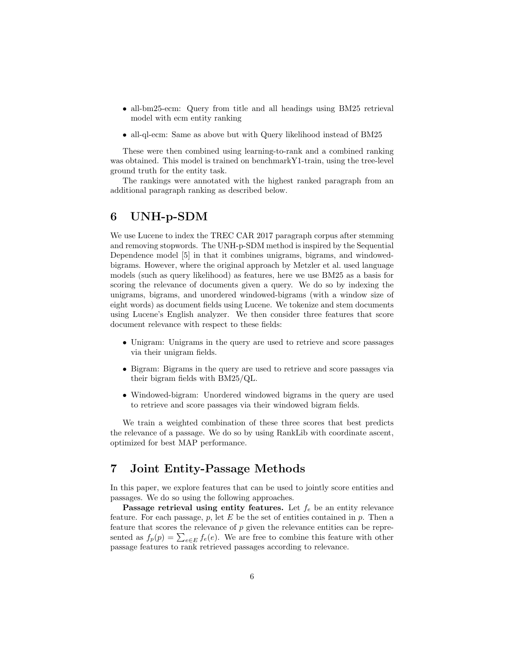- all-bm25-ecm: Query from title and all headings using BM25 retrieval model with ecm entity ranking
- all-ql-ecm: Same as above but with Query likelihood instead of BM25

These were then combined using learning-to-rank and a combined ranking was obtained. This model is trained on benchmarkY1-train, using the tree-level ground truth for the entity task.

The rankings were annotated with the highest ranked paragraph from an additional paragraph ranking as described below.

# 6 UNH-p-SDM

We use Lucene to index the TREC CAR 2017 paragraph corpus after stemming and removing stopwords. The UNH-p-SDM method is inspired by the Sequential Dependence model [5] in that it combines unigrams, bigrams, and windowedbigrams. However, where the original approach by Metzler et al. used language models (such as query likelihood) as features, here we use BM25 as a basis for scoring the relevance of documents given a query. We do so by indexing the unigrams, bigrams, and unordered windowed-bigrams (with a window size of eight words) as document fields using Lucene. We tokenize and stem documents using Lucene's English analyzer. We then consider three features that score document relevance with respect to these fields:

- Unigram: Unigrams in the query are used to retrieve and score passages via their unigram fields.
- Bigram: Bigrams in the query are used to retrieve and score passages via their bigram fields with BM25/QL.
- Windowed-bigram: Unordered windowed bigrams in the query are used to retrieve and score passages via their windowed bigram fields.

We train a weighted combination of these three scores that best predicts the relevance of a passage. We do so by using RankLib with coordinate ascent, optimized for best MAP performance.

### 7 Joint Entity-Passage Methods

In this paper, we explore features that can be used to jointly score entities and passages. We do so using the following approaches.

Passage retrieval using entity features. Let  $f_e$  be an entity relevance feature. For each passage,  $p$ , let  $E$  be the set of entities contained in  $p$ . Then a feature that scores the relevance of p given the relevance entities can be represented as  $f_p(p) = \sum_{e \in E} f_e(e)$ . We are free to combine this feature with other passage features to rank retrieved passages according to relevance.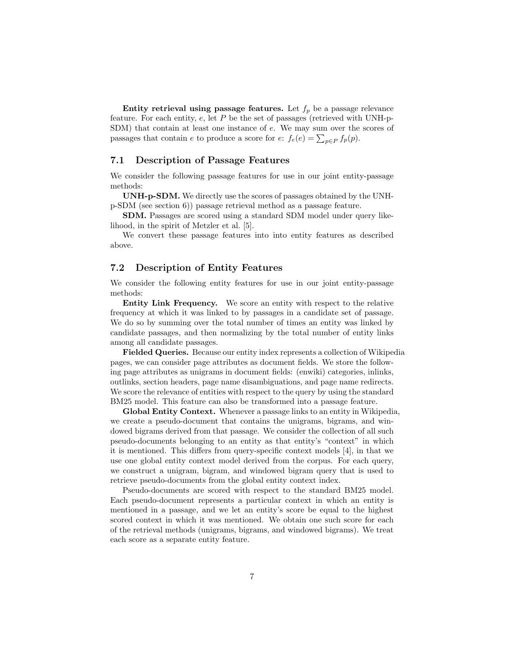Entity retrieval using passage features. Let  $f_p$  be a passage relevance feature. For each entity,  $e$ , let  $P$  be the set of passages (retrieved with UNH-p-SDM) that contain at least one instance of e. We may sum over the scores of passages that contain e to produce a score for  $e$ :  $f_e(e) = \sum_{p \in P} f_p(p)$ .

#### 7.1 Description of Passage Features

We consider the following passage features for use in our joint entity-passage methods:

UNH-p-SDM. We directly use the scores of passages obtained by the UNHp-SDM (see section 6)) passage retrieval method as a passage feature.

SDM. Passages are scored using a standard SDM model under query likelihood, in the spirit of Metzler et al. [5].

We convert these passage features into into entity features as described above.

#### 7.2 Description of Entity Features

We consider the following entity features for use in our joint entity-passage methods:

Entity Link Frequency. We score an entity with respect to the relative frequency at which it was linked to by passages in a candidate set of passage. We do so by summing over the total number of times an entity was linked by candidate passages, and then normalizing by the total number of entity links among all candidate passages.

Fielded Queries. Because our entity index represents a collection of Wikipedia pages, we can consider page attributes as document fields. We store the following page attributes as unigrams in document fields: (enwiki) categories, inlinks, outlinks, section headers, page name disambiguations, and page name redirects. We score the relevance of entities with respect to the query by using the standard BM25 model. This feature can also be transformed into a passage feature.

Global Entity Context. Whenever a passage links to an entity in Wikipedia, we create a pseudo-document that contains the unigrams, bigrams, and windowed bigrams derived from that passage. We consider the collection of all such pseudo-documents belonging to an entity as that entity's "context" in which it is mentioned. This differs from query-specific context models [4], in that we use one global entity context model derived from the corpus. For each query, we construct a unigram, bigram, and windowed bigram query that is used to retrieve pseudo-documents from the global entity context index.

Pseudo-documents are scored with respect to the standard BM25 model. Each pseudo-document represents a particular context in which an entity is mentioned in a passage, and we let an entity's score be equal to the highest scored context in which it was mentioned. We obtain one such score for each of the retrieval methods (unigrams, bigrams, and windowed bigrams). We treat each score as a separate entity feature.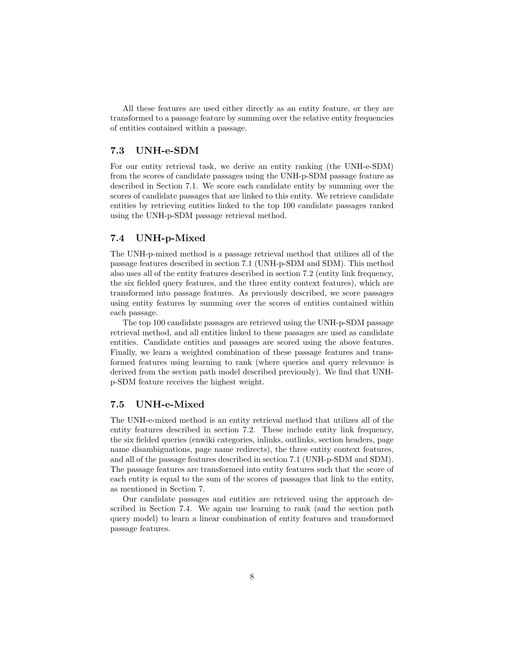All these features are used either directly as an entity feature, or they are transformed to a passage feature by summing over the relative entity frequencies of entities contained within a passage.

#### 7.3 UNH-e-SDM

For our entity retrieval task, we derive an entity ranking (the UNH-e-SDM) from the scores of candidate passages using the UNH-p-SDM passage feature as described in Section 7.1. We score each candidate entity by summing over the scores of candidate passages that are linked to this entity. We retrieve candidate entities by retrieving entities linked to the top 100 candidate passages ranked using the UNH-p-SDM passage retrieval method.

#### 7.4 UNH-p-Mixed

The UNH-p-mixed method is a passage retrieval method that utilizes all of the passage features described in section 7.1 (UNH-p-SDM and SDM). This method also uses all of the entity features described in section 7.2 (entity link frequency, the six fielded query features, and the three entity context features), which are transformed into passage features. As previously described, we score passages using entity features by summing over the scores of entities contained within each passage.

The top 100 candidate passages are retrieved using the UNH-p-SDM passage retrieval method, and all entities linked to these passages are used as candidate entities. Candidate entities and passages are scored using the above features. Finally, we learn a weighted combination of these passage features and transformed features using learning to rank (where queries and query relevance is derived from the section path model described previously). We find that UNHp-SDM feature receives the highest weight.

#### 7.5 UNH-e-Mixed

The UNH-e-mixed method is an entity retrieval method that utilizes all of the entity features described in section 7.2. These include entity link frequency, the six fielded queries (enwiki categories, inlinks, outlinks, section headers, page name disambiguations, page name redirects), the three entity context features, and all of the passage features described in section 7.1 (UNH-p-SDM and SDM). The passage features are transformed into entity features such that the score of each entity is equal to the sum of the scores of passages that link to the entity, as mentioned in Section 7.

Our candidate passages and entities are retrieved using the approach described in Section 7.4. We again use learning to rank (and the section path query model) to learn a linear combination of entity features and transformed passage features.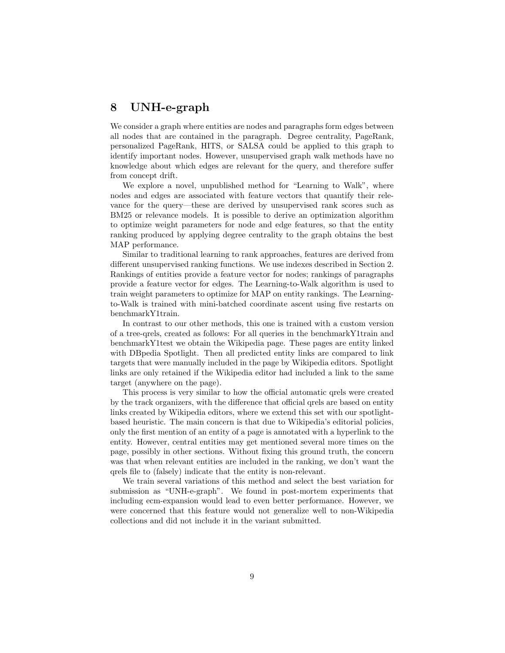# 8 UNH-e-graph

We consider a graph where entities are nodes and paragraphs form edges between all nodes that are contained in the paragraph. Degree centrality, PageRank, personalized PageRank, HITS, or SALSA could be applied to this graph to identify important nodes. However, unsupervised graph walk methods have no knowledge about which edges are relevant for the query, and therefore suffer from concept drift.

We explore a novel, unpublished method for "Learning to Walk", where nodes and edges are associated with feature vectors that quantify their relevance for the query—these are derived by unsupervised rank scores such as BM25 or relevance models. It is possible to derive an optimization algorithm to optimize weight parameters for node and edge features, so that the entity ranking produced by applying degree centrality to the graph obtains the best MAP performance.

Similar to traditional learning to rank approaches, features are derived from different unsupervised ranking functions. We use indexes described in Section 2. Rankings of entities provide a feature vector for nodes; rankings of paragraphs provide a feature vector for edges. The Learning-to-Walk algorithm is used to train weight parameters to optimize for MAP on entity rankings. The Learningto-Walk is trained with mini-batched coordinate ascent using five restarts on benchmarkY1train.

In contrast to our other methods, this one is trained with a custom version of a tree-qrels, created as follows: For all queries in the benchmarkY1train and benchmarkY1test we obtain the Wikipedia page. These pages are entity linked with DBpedia Spotlight. Then all predicted entity links are compared to link targets that were manually included in the page by Wikipedia editors. Spotlight links are only retained if the Wikipedia editor had included a link to the same target (anywhere on the page).

This process is very similar to how the official automatic qrels were created by the track organizers, with the difference that official qrels are based on entity links created by Wikipedia editors, where we extend this set with our spotlightbased heuristic. The main concern is that due to Wikipedia's editorial policies, only the first mention of an entity of a page is annotated with a hyperlink to the entity. However, central entities may get mentioned several more times on the page, possibly in other sections. Without fixing this ground truth, the concern was that when relevant entities are included in the ranking, we don't want the qrels file to (falsely) indicate that the entity is non-relevant.

We train several variations of this method and select the best variation for submission as "UNH-e-graph". We found in post-mortem experiments that including ecm-expansion would lead to even better performance. However, we were concerned that this feature would not generalize well to non-Wikipedia collections and did not include it in the variant submitted.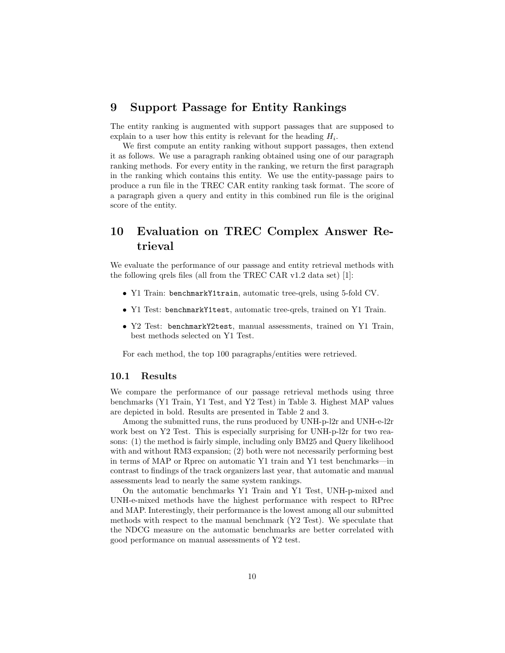### 9 Support Passage for Entity Rankings

The entity ranking is augmented with support passages that are supposed to explain to a user how this entity is relevant for the heading  $H_i$ .

We first compute an entity ranking without support passages, then extend it as follows. We use a paragraph ranking obtained using one of our paragraph ranking methods. For every entity in the ranking, we return the first paragraph in the ranking which contains this entity. We use the entity-passage pairs to produce a run file in the TREC CAR entity ranking task format. The score of a paragraph given a query and entity in this combined run file is the original score of the entity.

# 10 Evaluation on TREC Complex Answer Retrieval

We evaluate the performance of our passage and entity retrieval methods with the following qrels files (all from the TREC CAR v1.2 data set) [1]:

- Y1 Train: benchmarkY1train, automatic tree-qrels, using 5-fold CV.
- Y1 Test: benchmarkY1test, automatic tree-qrels, trained on Y1 Train.
- Y2 Test: benchmarkY2test, manual assessments, trained on Y1 Train, best methods selected on Y1 Test.

For each method, the top 100 paragraphs/entities were retrieved.

#### 10.1 Results

We compare the performance of our passage retrieval methods using three benchmarks (Y1 Train, Y1 Test, and Y2 Test) in Table 3. Highest MAP values are depicted in bold. Results are presented in Table 2 and 3.

Among the submitted runs, the runs produced by UNH-p-l2r and UNH-e-l2r work best on Y2 Test. This is especially surprising for UNH-p-l2r for two reasons: (1) the method is fairly simple, including only BM25 and Query likelihood with and without RM3 expansion; (2) both were not necessarily performing best in terms of MAP or Rprec on automatic Y1 train and Y1 test benchmarks—in contrast to findings of the track organizers last year, that automatic and manual assessments lead to nearly the same system rankings.

On the automatic benchmarks Y1 Train and Y1 Test, UNH-p-mixed and UNH-e-mixed methods have the highest performance with respect to RPrec and MAP. Interestingly, their performance is the lowest among all our submitted methods with respect to the manual benchmark (Y2 Test). We speculate that the NDCG measure on the automatic benchmarks are better correlated with good performance on manual assessments of Y2 test.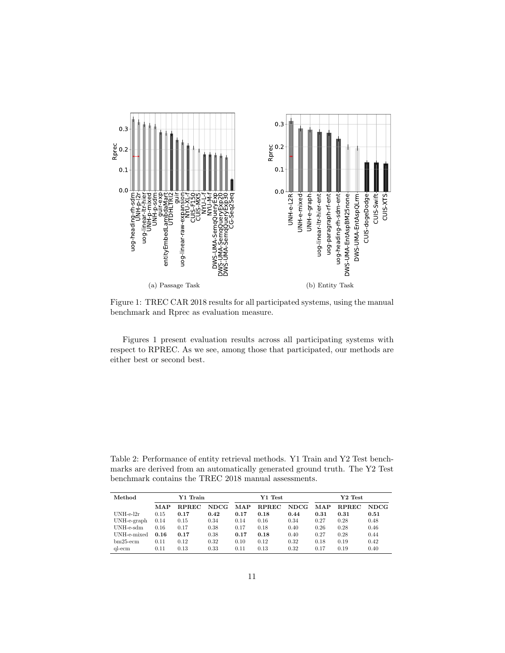

Figure 1: TREC CAR 2018 results for all participated systems, using the manual benchmark and Rprec as evaluation measure.

Figures 1 present evaluation results across all participating systems with respect to RPREC. As we see, among those that participated, our methods are either best or second best.

Table 2: Performance of entity retrieval methods. Y1 Train and Y2 Test benchmarks are derived from an automatically generated ground truth. The Y2 Test benchmark contains the TREC 2018 manual assessments.

| Method      | Y1 Train |              |       | Y1 Test    |              |             | Y2 Test |              |             |
|-------------|----------|--------------|-------|------------|--------------|-------------|---------|--------------|-------------|
|             | MAP      | <b>RPREC</b> | NDCG. | <b>MAP</b> | <b>RPREC</b> | <b>NDCG</b> | MAP     | <b>RPREC</b> | <b>NDCG</b> |
| $UNH-e-12r$ | 0.15     | 0.17         | 0.42  | 0.17       | 0.18         | 0.44        | 0.31    | 0.31         | 0.51        |
| UNH-e-graph | 0.14     | 0.15         | 0.34  | 0.14       | 0.16         | 0.34        | 0.27    | 0.28         | 0.48        |
| $UNH-e-sdm$ | 0.16     | 0.17         | 0.38  | 0.17       | 0.18         | 0.40        | 0.26    | 0.28         | 0.46        |
| UNH-e-mixed | 0.16     | 0.17         | 0.38  | 0.17       | 0.18         | 0.40        | 0.27    | 0.28         | 0.44        |
| $bm25$ -ecm | 0.11     | 0.12         | 0.32  | 0.10       | 0.12         | 0.32        | 0.18    | 0.19         | 0.42        |
| al-ecm      | 0.11     | 0.13         | 0.33  | 0.11       | 0.13         | 0.32        | 0.17    | 0.19         | 0.40        |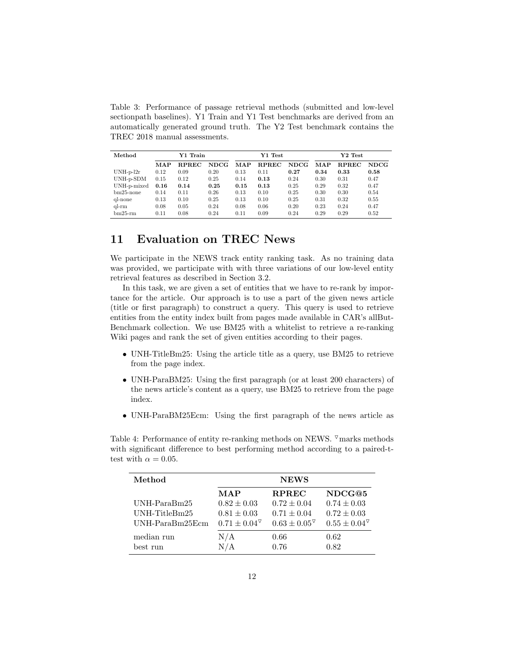Table 3: Performance of passage retrieval methods (submitted and low-level sectionpath baselines). Y1 Train and Y1 Test benchmarks are derived from an automatically generated ground truth. The Y2 Test benchmark contains the TREC 2018 manual assessments.

| Method       | Y1 Train |              |      | Y1 Test    |              |       | $Y2$ Test  |              |             |
|--------------|----------|--------------|------|------------|--------------|-------|------------|--------------|-------------|
|              | MAP      | <b>RPREC</b> | NDCG | <b>MAP</b> | <b>RPREC</b> | NDCG. | <b>MAP</b> | <b>RPREC</b> | <b>NDCG</b> |
| $UNH-p-12r$  | 0.12     | 0.09         | 0.20 | 0.13       | 0.11         | 0.27  | 0.34       | 0.33         | 0.58        |
| UNH-p-SDM    | 0.15     | 0.12         | 0.25 | 0.14       | 0.13         | 0.24  | 0.30       | 0.31         | 0.47        |
| UNH-p-mixed  | 0.16     | 0.14         | 0.25 | 0.15       | 0.13         | 0.25  | 0.29       | 0.32         | 0.47        |
| $bm25$ -none | 0.14     | 0.11         | 0.26 | 0.13       | 0.10         | 0.25  | 0.30       | 0.30         | 0.54        |
| ql-none      | 0.13     | 0.10         | 0.25 | 0.13       | 0.10         | 0.25  | 0.31       | 0.32         | 0.55        |
| $q$ -rm      | 0.08     | 0.05         | 0.24 | 0.08       | 0.06         | 0.20  | 0.23       | 0.24         | 0.47        |
| $bm25$ -rm   | 0.11     | 0.08         | 0.24 | 0.11       | 0.09         | 0.24  | 0.29       | 0.29         | 0.52        |

# 11 Evaluation on TREC News

We participate in the NEWS track entity ranking task. As no training data was provided, we participate with with three variations of our low-level entity retrieval features as described in Section 3.2.

In this task, we are given a set of entities that we have to re-rank by importance for the article. Our approach is to use a part of the given news article (title or first paragraph) to construct a query. This query is used to retrieve entities from the entity index built from pages made available in CAR's allBut-Benchmark collection. We use BM25 with a whitelist to retrieve a re-ranking Wiki pages and rank the set of given entities according to their pages.

- UNH-TitleBm25: Using the article title as a query, use BM25 to retrieve from the page index.
- UNH-ParaBM25: Using the first paragraph (or at least 200 characters) of the news article's content as a query, use BM25 to retrieve from the page index.
- UNH-ParaBM25Ecm: Using the first paragraph of the news article as

Table 4: Performance of entity re-ranking methods on NEWS.  $\sqrt{ }$  marks methods with significant difference to best performing method according to a paired-ttest with  $\alpha = 0.05$ .

| Method          | <b>NEWS</b>              |                          |                        |  |  |  |  |
|-----------------|--------------------------|--------------------------|------------------------|--|--|--|--|
|                 | MAP                      | <b>RPREC</b>             | NDCG@5                 |  |  |  |  |
| $UNH-ParaBm25$  | $0.82 \pm 0.03$          | $0.72 \pm 0.04$          | $0.74 \pm 0.03$        |  |  |  |  |
| UNH-TitleBm25   | $0.81 \pm 0.03$          | $0.71 \pm 0.04$          | $0.72 \pm 0.03$        |  |  |  |  |
| UNH-ParaBm25Ecm | $0.71 \pm 0.04^{\nabla}$ | $0.63 \pm 0.05^{\nabla}$ | $0.55 \pm 0.04^\nabla$ |  |  |  |  |
| median run      | N/A                      | 0.66                     | 0.62                   |  |  |  |  |
| best run        | N/A                      | 0.76                     | 0.82                   |  |  |  |  |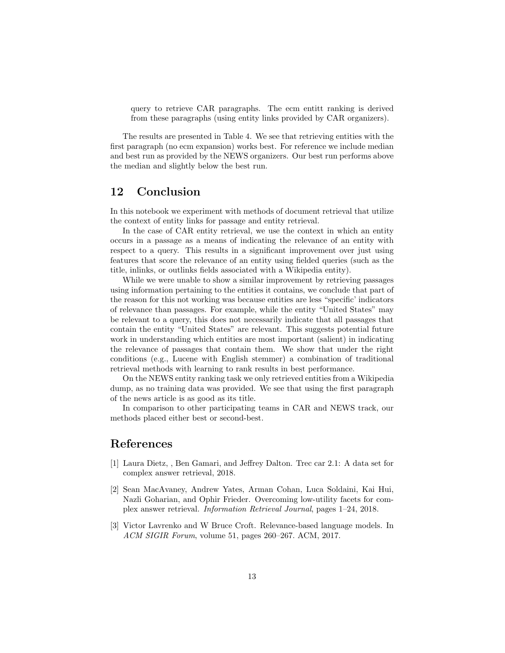query to retrieve CAR paragraphs. The ecm entitt ranking is derived from these paragraphs (using entity links provided by CAR organizers).

The results are presented in Table 4. We see that retrieving entities with the first paragraph (no ecm expansion) works best. For reference we include median and best run as provided by the NEWS organizers. Our best run performs above the median and slightly below the best run.

### 12 Conclusion

In this notebook we experiment with methods of document retrieval that utilize the context of entity links for passage and entity retrieval.

In the case of CAR entity retrieval, we use the context in which an entity occurs in a passage as a means of indicating the relevance of an entity with respect to a query. This results in a significant improvement over just using features that score the relevance of an entity using fielded queries (such as the title, inlinks, or outlinks fields associated with a Wikipedia entity).

While we were unable to show a similar improvement by retrieving passages using information pertaining to the entities it contains, we conclude that part of the reason for this not working was because entities are less "specific' indicators of relevance than passages. For example, while the entity "United States" may be relevant to a query, this does not necessarily indicate that all passages that contain the entity "United States" are relevant. This suggests potential future work in understanding which entities are most important (salient) in indicating the relevance of passages that contain them. We show that under the right conditions (e.g., Lucene with English stemmer) a combination of traditional retrieval methods with learning to rank results in best performance.

On the NEWS entity ranking task we only retrieved entities from a Wikipedia dump, as no training data was provided. We see that using the first paragraph of the news article is as good as its title.

In comparison to other participating teams in CAR and NEWS track, our methods placed either best or second-best.

# References

- [1] Laura Dietz, , Ben Gamari, and Jeffrey Dalton. Trec car 2.1: A data set for complex answer retrieval, 2018.
- [2] Sean MacAvaney, Andrew Yates, Arman Cohan, Luca Soldaini, Kai Hui, Nazli Goharian, and Ophir Frieder. Overcoming low-utility facets for complex answer retrieval. Information Retrieval Journal, pages 1–24, 2018.
- [3] Victor Lavrenko and W Bruce Croft. Relevance-based language models. In ACM SIGIR Forum, volume 51, pages 260–267. ACM, 2017.